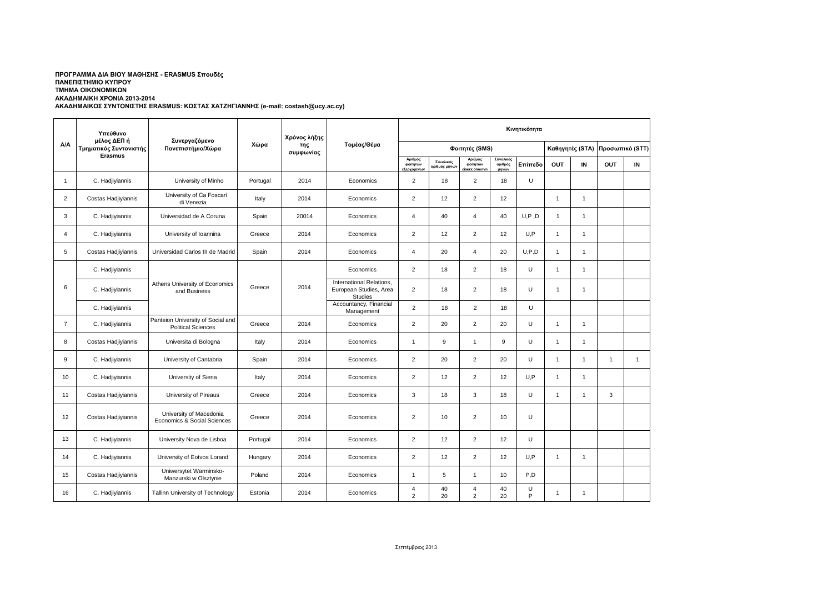## **ΑΚΑΔΗΜΑΙΚΟΣ ΣΥΝΤΟΝΙΣΤΗΣ ERASMUS: ΚΩΣΤΑΣ ΧΑΤΖΗΓΙΑΝΝΗΣ (e-mail: costash@ucy.ac.cy) ΠΡΟΓΡΑΜΜΑ ΔΙΑ ΒΙΟΥ ΜΑΘΗΣΗΣ - ERASMUS Σπουδές ΠΑΝΕΠΙΣΤΗΜΙΟ ΚΥΠΡΟΥ ΤΜΗΜΑ ΟΙΚΟΝΟΜΙΚΩΝ ΑΚΑΔΗΜΑΙΚΗ ΧΡΟΝΙΑ 2013-2014**

 $\overline{\phantom{a}}$ 

| A/A            | Υπεύθυνο<br>μέλος ΔΕΠ ή<br>Τμηματικός Συντονιστής<br>Erasmus | Συνεργαζόμενο<br>Πανεπιστήμιο/Χώρα                             | Χώρα     | Χρόνος λήξης<br>της<br>συμφωνίας | Τομέας/Θέμα                                                          | Κινητικότητα                                      |                            |                                      |                               |         |                |              |                                 |              |
|----------------|--------------------------------------------------------------|----------------------------------------------------------------|----------|----------------------------------|----------------------------------------------------------------------|---------------------------------------------------|----------------------------|--------------------------------------|-------------------------------|---------|----------------|--------------|---------------------------------|--------------|
|                |                                                              |                                                                |          |                                  |                                                                      | Φοιτητές (SMS)                                    |                            |                                      |                               |         |                |              | Καθηγητές (STA) Προσωπικό (STT) |              |
|                |                                                              |                                                                |          |                                  |                                                                      | Αριθμος<br>φοιτητών<br>εξερχομε <mark>ν</mark> ων | Σύνολικός<br>αριθμός μηνών | Αριθμος<br>φοιτητών<br>siserx;omenvr | Σύνολικός<br>αριθμός<br>μηνών | Επίπεδο | <b>OUT</b>     | IN           | OUT                             | IN           |
| $\mathbf{1}$   | C. Hadjiyiannis                                              | University of Minho                                            | Portugal | 2014                             | Economics                                                            | $\overline{2}$                                    | 18                         | $\overline{2}$                       | 18                            | U       |                |              |                                 |              |
| $\overline{2}$ | Costas Hadjiyiannis                                          | University of Ca Foscari<br>di Venezia                         | Italy    | 2014                             | Economics                                                            | $\overline{2}$                                    | 12                         | $\overline{2}$                       | 12                            |         | 1              | 1            |                                 |              |
| 3              | C. Hadjiyiannis                                              | Universidad de A Coruna                                        | Spain    | 20014                            | Economics                                                            | $\overline{4}$                                    | 40                         | $\overline{4}$                       | 40                            | U, P, D | $\mathbf{1}$   | $\mathbf{1}$ |                                 |              |
| 4              | C. Hadjiyiannis                                              | University of Ioannina                                         | Greece   | 2014                             | Economics                                                            | $\overline{2}$                                    | 12                         | $\overline{2}$                       | 12                            | U,P     | $\mathbf{1}$   | 1            |                                 |              |
| 5              | Costas Hadjiyiannis                                          | Universidad Carlos III de Madrid                               | Spain    | 2014                             | Economics                                                            | $\overline{4}$                                    | 20                         | $\overline{4}$                       | 20                            | U, P, D | $\mathbf{1}$   | $\mathbf{1}$ |                                 |              |
| 6              | C. Hadjiyiannis                                              | Athens University of Economics<br>and Business                 | Greece   | 2014                             | Economics                                                            | $\overline{2}$                                    | 18                         | $\overline{2}$                       | 18                            | U       | $\mathbf{1}$   | $\mathbf{1}$ |                                 |              |
|                | C. Hadjiyiannis                                              |                                                                |          |                                  | International Relations,<br>European Studies, Area<br><b>Studies</b> | $\overline{2}$                                    | 18                         | $\overline{2}$                       | 18                            | U       | $\mathbf{1}$   | $\mathbf{1}$ |                                 |              |
|                | C. Hadjiyiannis                                              |                                                                |          |                                  | Accountancy, Financial<br>Management                                 | $\overline{2}$                                    | 18                         | $\overline{2}$                       | 18                            | U       |                |              |                                 |              |
| $\overline{7}$ | C. Hadjiyiannis                                              | Panteion University of Social and<br><b>Political Sciences</b> | Greece   | 2014                             | Economics                                                            | $\overline{2}$                                    | 20                         | $\overline{2}$                       | 20                            | U       | $\overline{1}$ | 1            |                                 |              |
| 8              | Costas Hadjiyiannis                                          | Universita di Bologna                                          | Italy    | 2014                             | Economics                                                            | $\mathbf{1}$                                      | 9                          | $\mathbf{1}$                         | 9                             | U       | 1              | 1            |                                 |              |
| 9              | C. Hadjiyiannis                                              | University of Cantabria                                        | Spain    | 2014                             | Economics                                                            | $\overline{2}$                                    | 20                         | $\overline{2}$                       | 20                            | U       | $\mathbf 1$    | $\mathbf{1}$ | $\mathbf{1}$                    | $\mathbf{1}$ |
| 10             | C. Hadjiyiannis                                              | University of Siena                                            | Italy    | 2014                             | Economics                                                            | $\overline{2}$                                    | 12                         | $\overline{2}$                       | 12                            | U, P    | 1              | $\mathbf{1}$ |                                 |              |
| 11             | Costas Hadjiyiannis                                          | University of Pireaus                                          | Greece   | 2014                             | Economics                                                            | 3                                                 | 18                         | 3                                    | 18                            | U       | $\mathbf{1}$   | 1            | 3                               |              |
| 12             | Costas Hadjiyiannis                                          | University of Macedonia<br>Economics & Social Sciences         | Greece   | 2014                             | Economics                                                            | $\overline{2}$                                    | 10                         | $\overline{2}$                       | 10                            | U       |                |              |                                 |              |
| 13             | C. Hadjiyiannis                                              | University Nova de Lisboa                                      | Portugal | 2014                             | Economics                                                            | $\overline{2}$                                    | 12                         | $\overline{2}$                       | 12                            | U       |                |              |                                 |              |
| 14             | C. Hadjiyiannis                                              | University of Eotvos Lorand                                    | Hungary  | 2014                             | Economics                                                            | $\overline{2}$                                    | 12                         | $\overline{2}$                       | 12                            | U.P     | $\mathbf{1}$   | 1            |                                 |              |
| 15             | Costas Hadjiyiannis                                          | Uniwersytet Warminsko-<br>Manzurski w Olsztynie                | Poland   | 2014                             | Economics                                                            | $\overline{1}$                                    | 5                          | $\mathbf{1}$                         | 10                            | P,D     |                |              |                                 |              |
| 16             | C. Hadjiyiannis                                              | Tallinn University of Technology                               | Estonia  | 2014                             | Economics                                                            | $\overline{4}$<br>$\overline{2}$                  | 40<br>20                   | $\overline{4}$<br>$\overline{2}$     | 40<br>20                      | U<br>P  | 1              | $\mathbf{1}$ |                                 |              |